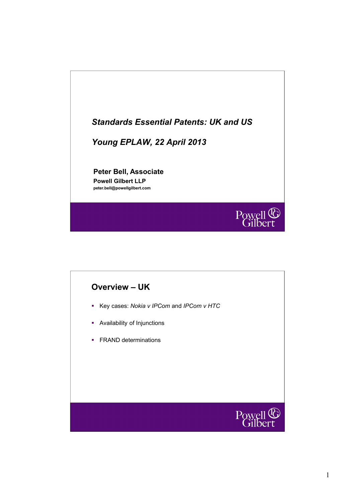

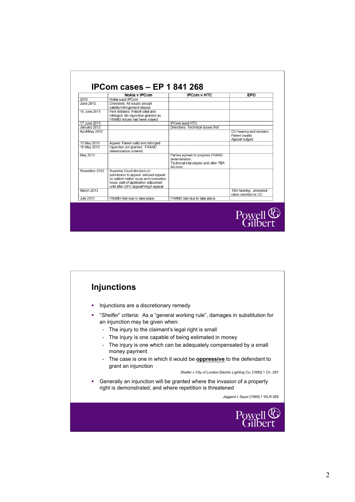|                  | Nokia v IPCom                                                                                                                                                                             | <b>IPCom v HTC</b>                                                                                      | EPO                                                         |
|------------------|-------------------------------------------------------------------------------------------------------------------------------------------------------------------------------------------|---------------------------------------------------------------------------------------------------------|-------------------------------------------------------------|
| 2010             | Nokia sued IPCom                                                                                                                                                                          |                                                                                                         |                                                             |
| June 2010        | Directions: All issues except<br>validity/infringement stayed                                                                                                                             |                                                                                                         |                                                             |
| 16 June 2011     | First instance: Patent valid and<br>infringed. No injunction granted as<br>FRAND issues had been stayed                                                                                   |                                                                                                         |                                                             |
| 17 June 2011     |                                                                                                                                                                                           | <b>IPCom sued HTC</b>                                                                                   |                                                             |
| January 2012     |                                                                                                                                                                                           | Directions: Technical issues first                                                                      |                                                             |
| April/May 2012   |                                                                                                                                                                                           |                                                                                                         | OD hearing and decision:<br>Patent invalid<br>Appeal lodged |
| 10 May 2012      | Appeal: Patent valid and infringed                                                                                                                                                        |                                                                                                         |                                                             |
| 18 May 2012      | Injunction not granted. FRAND<br>determination ordered                                                                                                                                    |                                                                                                         |                                                             |
| May 2012         |                                                                                                                                                                                           | Parties agreed to progress FRAND<br>determination<br>Technical trial stayed until after TBA<br>decision |                                                             |
| November 2012    | Supreme Court decision on<br>permission to appeal: refused appeal<br>on added matter issue and revocation<br>issue; part of application adjourned<br>until after EPO appeal/Virgin appeal |                                                                                                         |                                                             |
| March 2013       |                                                                                                                                                                                           |                                                                                                         | TBA hearing: amended<br>claim remitted to OD                |
| <b>July 2013</b> | FRAND trial due to take place                                                                                                                                                             | FRAND trial due to take place                                                                           |                                                             |

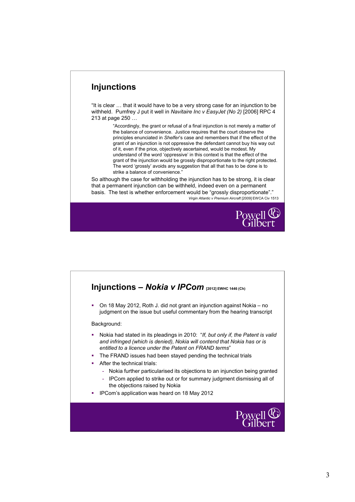### **Injunctions**

"It is clear … that it would have to be a very strong case for an injunction to be withheld. Pumfrey J put it well in *Navitaire Inc v EasyJet (No 2)* [2006] RPC 4 213 at page 250 …

> "Accordingly, the grant or refusal of a final injunction is not merely a matter of the balance of convenience. Justice requires that the court observe the principles enunciated in *Shelfer*'s case and remembers that if the effect of the grant of an injunction is not oppressive the defendant cannot buy his way out of it, even if the price, objectively ascertained, would be modest. My understand of the word 'oppressive' in this context is that the effect of the grant of the injunction would be grossly disproportionate to the right protected. The word 'grossly' avoids any suggestion that all that has to be done is to strike a balance of convenience."

So although the case for withholding the injunction has to be strong, it is clear that a permanent injunction can be withheld, indeed even on a permanent basis. The test is whether enforcement would be "grossly disproportionate"." *Virgin Atlantic v Premium Aircraft* [2009] EWCA Civ 1513



# **Injunctions –** *Nokia v IPCom* **[2012] EWHC 1446 (Ch)**  On 18 May 2012, Roth J. did not grant an injunction against Nokia – no judgment on the issue but useful commentary from the hearing transcript Background: Nokia had stated in its pleadings in 2010: "*If, but only if, the Patent is valid and infringed (which is denied), Nokia will contend that Nokia has or is entitled to a licence under the Patent on FRAND terms*" The FRAND issues had been stayed pending the technical trials After the technical trials: - Nokia further particularised its objections to an injunction being granted IPCom applied to strike out or for summary judgment dismissing all of the objections raised by Nokia IPCom's application was heard on 18 May 2012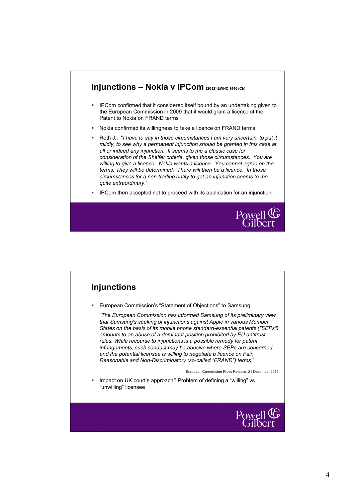#### **Injunctions – Nokia v IPCom [2012] EWHC 1446 (Ch)**

- IPCom confirmed that it considered itself bound by an undertaking given to the European Commission in 2009 that it would grant a licence of the Patent to Nokia on FRAND terms
- Nokia confirmed its willingness to take a licence on FRAND terms
- Roth J.: "*I have to say in those circumstances I am very uncertain, to put it mildly, to see why a permanent injunction should be granted in this case at all or indeed any injunction. It seems to me a classic case for consideration of the Shelfer criteria, given those circumstances. You are willing to give a licence. Nokia wants a licence. You cannot agree on the terms. They will be determined. There will then be a licence. In those circumstances for a non-trading entity to get an injunction seems to me quite extraordinary*."
- IPCom then accepted not to proceed with its application for an injunction



## **Injunctions**

European Commission's "Statement of Objections" to Samsung:

"*The European Commission has informed Samsung of its preliminary view that Samsung's seeking of injunctions against Apple in various Member States on the basis of its mobile phone standard-essential patents ("SEPs") amounts to an abuse of a dominant position prohibited by EU antitrust rules. While recourse to injunctions is a possible remedy for patent infringements, such conduct may be abusive where SEPs are concerned and the potential licensee is willing to negotiate a licence on Fair, Reasonable and Non-Discriminatory (so-called "FRAND") terms*."

European Commission Press Release, 21 December 2012

 Impact on UK court's approach? Problem of defining a "willing" vs "unwilling" licensee

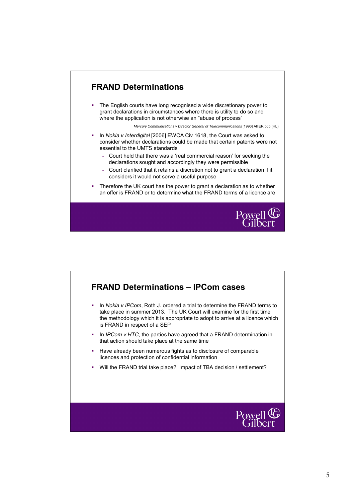### **FRAND Determinations**

 The English courts have long recognised a wide discretionary power to grant declarations in circumstances where there is utility to do so and where the application is not otherwise an "abuse of process"

*Mercury Communications v Director General of Telecommunications* [1996] All ER 565 (HL)

- In *Nokia v Interdigital* [2006] EWCA Civ 1618, the Court was asked to consider whether declarations could be made that certain patents were not essential to the UMTS standards
	- Court held that there was a 'real commercial reason' for seeking the declarations sought and accordingly they were permissible
	- Court clarified that it retains a discretion not to grant a declaration if it considers it would not serve a useful purpose
- Therefore the UK court has the power to grant a declaration as to whether an offer is FRAND or to determine what the FRAND terms of a licence are



### **FRAND Determinations – IPCom cases**

- **In** *Nokia v IPCom*, Roth J. ordered a trial to determine the FRAND terms to take place in summer 2013. The UK Court will examine for the first time the methodology which it is appropriate to adopt to arrive at a licence which is FRAND in respect of a SEP
- In *IPCom v HTC*, the parties have agreed that a FRAND determination in that action should take place at the same time
- Have already been numerous fights as to disclosure of comparable licences and protection of confidential information
- Will the FRAND trial take place? Impact of TBA decision / settlement?

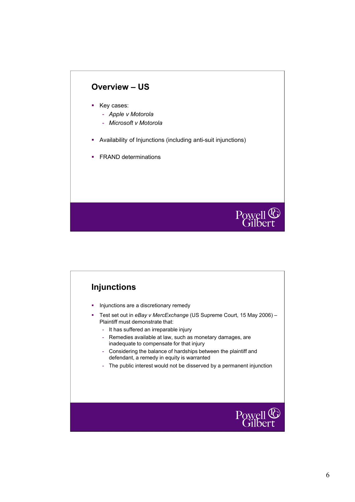

- Key cases:
	- *Apple v Motorola*
	- *Microsoft v Motorola*
- Availability of Injunctions (including anti-suit injunctions)
- **FRAND determinations**



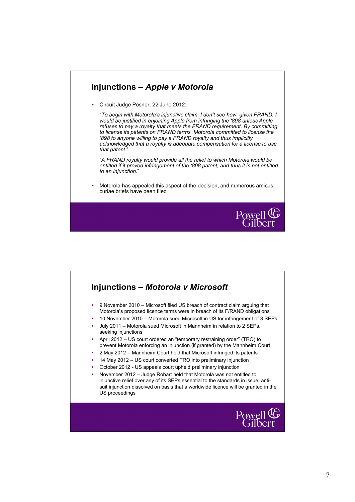### **Injunctions –** *Apple v Motorola*

Circuit Judge Posner, 22 June 2012:

"*To begin with Motorola's injunctive claim, I don't see how, given FRAND, I would be justified in enjoining Apple from infringing the '898 unless Apple refuses to pay a royalty that meets the FRAND requirement. By committing to license its patents on FRAND terms, Motorola committed to license the '898 to anyone willing to pay a FRAND royalty and thus implicitly acknowledged that a royalty is adequate compensation for a license to use that patent*."

"*A FRAND royalty would provide all the relief to which Motorola would be entitled if it proved infringement of the '898 patent, and thus it is not entitled to an injunction*."

 Motorola has appealed this aspect of the decision, and numerous amicus curiae briefs have been filed





- July 2011 Motorola sued Microsoft in Mannheim in relation to 2 SEPs, seeking injunctions
- April 2012 US court ordered an "temporary restraining order" (TRO) to prevent Motorola enforcing an injunction (if granted) by the Mannheim Court
- 2 May 2012 Mannheim Court held that Microsoft infringed its patents
- 14 May 2012 US court converted TRO into preliminary injunction
- October 2012 US appeals court upheld preliminary injunction
- November 2012 Judge Robart held that Motorola was not entitled to injunctive relief over any of its SEPs essential to the standards in issue; antisuit injunction dissolved on basis that a worldwide licence will be granted in the US proceedings